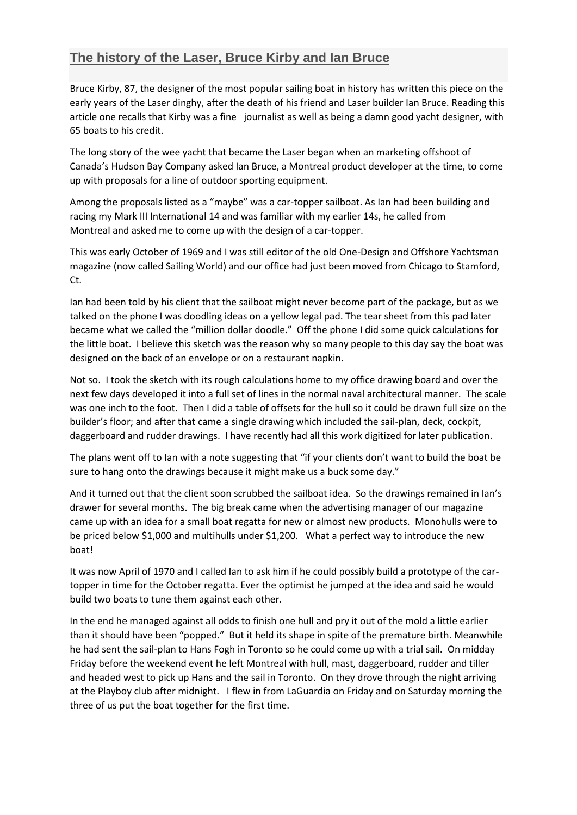## **The [history](https://www.lasersailing.com.au/the-history-of-the-laser-bruce-kirby-and-ian-bruce/) of the Laser, Bruce Kirby and Ian Bruce**

Bruce Kirby, 87, the designer of the most popular sailing boat in history has written this piece on the early years of the Laser dinghy, after the death of his friend and Laser builder Ian Bruce. Reading this article one recalls that Kirby was a fine journalist as well as being a damn good yacht designer, with 65 boats to his credit.

The long story of the wee yacht that became the Laser began when an marketing offshoot of Canada's Hudson Bay Company asked Ian Bruce, a Montreal product developer at the time, to come up with proposals for a line of outdoor sporting equipment.

Among the proposals listed as a "maybe" was a car-topper sailboat. As Ian had been building and racing my Mark III International 14 and was familiar with my earlier 14s, he called from Montreal and asked me to come up with the design of a car-topper.

This was early October of 1969 and I was still editor of the old One-Design and Offshore Yachtsman magazine (now called Sailing World) and our office had just been moved from Chicago to Stamford, Ct.

Ian had been told by his client that the sailboat might never become part of the package, but as we talked on the phone I was doodling ideas on a yellow legal pad. The tear sheet from this pad later became what we called the "million dollar doodle." Off the phone I did some quick calculations for the little boat. I believe this sketch was the reason why so many people to this day say the boat was designed on the back of an envelope or on a restaurant napkin.

Not so. I took the sketch with its rough calculations home to my office drawing board and over the next few days developed it into a full set of lines in the normal naval architectural manner. The scale was one inch to the foot. Then I did a table of offsets for the hull so it could be drawn full size on the builder's floor; and after that came a single drawing which included the sail-plan, deck, cockpit, daggerboard and rudder drawings. I have recently had all this work digitized for later publication.

The plans went off to Ian with a note suggesting that "if your clients don't want to build the boat be sure to hang onto the drawings because it might make us a buck some day."

And it turned out that the client soon scrubbed the sailboat idea. So the drawings remained in Ian's drawer for several months. The big break came when the advertising manager of our magazine came up with an idea for a small boat regatta for new or almost new products. Monohulls were to be priced below \$1,000 and multihulls under \$1,200. What a perfect way to introduce the new boat!

It was now April of 1970 and I called Ian to ask him if he could possibly build a prototype of the cartopper in time for the October regatta. Ever the optimist he jumped at the idea and said he would build two boats to tune them against each other.

In the end he managed against all odds to finish one hull and pry it out of the mold a little earlier than it should have been "popped." But it held its shape in spite of the premature birth. Meanwhile he had sent the sail-plan to Hans Fogh in Toronto so he could come up with a trial sail. On midday Friday before the weekend event he left Montreal with hull, mast, daggerboard, rudder and tiller and headed west to pick up Hans and the sail in Toronto. On they drove through the night arriving at the Playboy club after midnight. I flew in from LaGuardia on Friday and on Saturday morning the three of us put the boat together for the first time.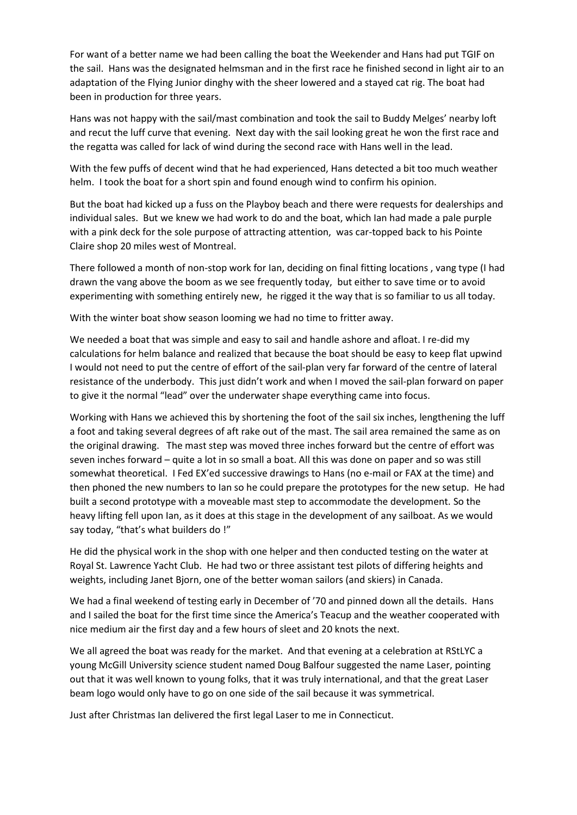For want of a better name we had been calling the boat the Weekender and Hans had put TGIF on the sail. Hans was the designated helmsman and in the first race he finished second in light air to an adaptation of the Flying Junior dinghy with the sheer lowered and a stayed cat rig. The boat had been in production for three years.

Hans was not happy with the sail/mast combination and took the sail to Buddy Melges' nearby loft and recut the luff curve that evening. Next day with the sail looking great he won the first race and the regatta was called for lack of wind during the second race with Hans well in the lead.

With the few puffs of decent wind that he had experienced, Hans detected a bit too much weather helm. I took the boat for a short spin and found enough wind to confirm his opinion.

But the boat had kicked up a fuss on the Playboy beach and there were requests for dealerships and individual sales. But we knew we had work to do and the boat, which Ian had made a pale purple with a pink deck for the sole purpose of attracting attention, was car-topped back to his Pointe Claire shop 20 miles west of Montreal.

There followed a month of non-stop work for Ian, deciding on final fitting locations , vang type (I had drawn the vang above the boom as we see frequently today, but either to save time or to avoid experimenting with something entirely new, he rigged it the way that is so familiar to us all today.

With the winter boat show season looming we had no time to fritter away.

We needed a boat that was simple and easy to sail and handle ashore and afloat. I re-did my calculations for helm balance and realized that because the boat should be easy to keep flat upwind I would not need to put the centre of effort of the sail-plan very far forward of the centre of lateral resistance of the underbody. This just didn't work and when I moved the sail-plan forward on paper to give it the normal "lead" over the underwater shape everything came into focus.

Working with Hans we achieved this by shortening the foot of the sail six inches, lengthening the luff a foot and taking several degrees of aft rake out of the mast. The sail area remained the same as on the original drawing. The mast step was moved three inches forward but the centre of effort was seven inches forward – quite a lot in so small a boat. All this was done on paper and so was still somewhat theoretical. I Fed EX'ed successive drawings to Hans (no e-mail or FAX at the time) and then phoned the new numbers to Ian so he could prepare the prototypes for the new setup. He had built a second prototype with a moveable mast step to accommodate the development. So the heavy lifting fell upon Ian, as it does at this stage in the development of any sailboat. As we would say today, "that's what builders do !"

He did the physical work in the shop with one helper and then conducted testing on the water at Royal St. Lawrence Yacht Club. He had two or three assistant test pilots of differing heights and weights, including Janet Bjorn, one of the better woman sailors (and skiers) in Canada.

We had a final weekend of testing early in December of '70 and pinned down all the details. Hans and I sailed the boat for the first time since the America's Teacup and the weather cooperated with nice medium air the first day and a few hours of sleet and 20 knots the next.

We all agreed the boat was ready for the market. And that evening at a celebration at RStLYC a young McGill University science student named Doug Balfour suggested the name Laser, pointing out that it was well known to young folks, that it was truly international, and that the great Laser beam logo would only have to go on one side of the sail because it was symmetrical.

Just after Christmas Ian delivered the first legal Laser to me in Connecticut.